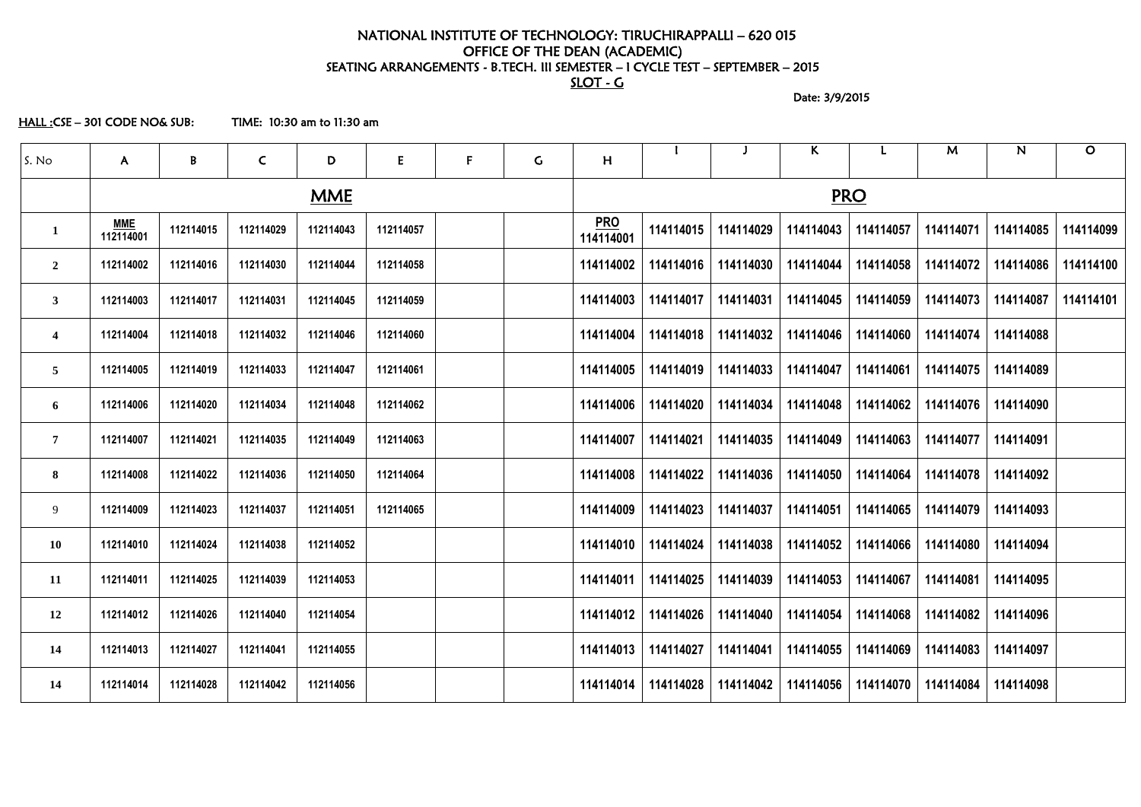### NATIONAL INSTITUTE OF TECHNOLOGY: TIRUCHIRAPPALLI – 620 015 OFFICE OF THE DEAN (ACADEMIC) SEATING ARRANGEMENTS - B.TECH. III SEMESTER – I CYCLE TEST – SEPTEMBER – 2015 SLOT - G

Date: 3/9/2015

HALL :CSE – 301 CODE NO& SUB: TIME: 10:30 am to 11:30 am

| S. No                   | $\mathsf{A}$            | B         | $\mathsf{C}$ | D          | E         | F | $\mathsf C$ | H                       |           |           | K.                                            |            | M                     | N         | $\mathbf O$ |
|-------------------------|-------------------------|-----------|--------------|------------|-----------|---|-------------|-------------------------|-----------|-----------|-----------------------------------------------|------------|-----------------------|-----------|-------------|
|                         |                         |           |              | <b>MME</b> |           |   |             |                         |           |           |                                               | <b>PRO</b> |                       |           |             |
| $\mathbf{1}$            | <u>MME</u><br>112114001 | 112114015 | 112114029    | 112114043  | 112114057 |   |             | <u>PRO</u><br>114114001 | 114114015 | 114114029 | 114114043                                     | 114114057  | 114114071             | 114114085 | 114114099   |
| $\overline{2}$          | 112114002               | 112114016 | 112114030    | 112114044  | 112114058 |   |             | 114114002               | 114114016 | 114114030 | 114114044                                     | 114114058  | 114114072             | 114114086 | 114114100   |
| $\mathbf{3}$            | 112114003               | 112114017 | 112114031    | 112114045  | 112114059 |   |             | 114114003               | 114114017 | 114114031 | 114114045                                     | 114114059  | 114114073             | 114114087 | 114114101   |
| $\overline{\mathbf{4}}$ | 112114004               | 112114018 | 112114032    | 112114046  | 112114060 |   |             | 114114004               | 114114018 | 114114032 | 114114046                                     | 114114060  | 114114074             | 114114088 |             |
| $\overline{5}$          | 112114005               | 112114019 | 112114033    | 112114047  | 112114061 |   |             | 114114005               | 114114019 | 114114033 | 114114047                                     | 114114061  | 114114075             | 114114089 |             |
| 6                       | 112114006               | 112114020 | 112114034    | 112114048  | 112114062 |   |             | 114114006               | 114114020 | 114114034 | 114114048                                     | 114114062  | 114114076             | 114114090 |             |
| $\overline{7}$          | 112114007               | 112114021 | 112114035    | 112114049  | 112114063 |   |             | 114114007               | 114114021 | 114114035 | 114114049                                     | 114114063  | 114114077             | 114114091 |             |
| 8                       | 112114008               | 112114022 | 112114036    | 112114050  | 112114064 |   |             | 114114008               | 114114022 | 114114036 | 114114050                                     | 114114064  | 114114078             | 114114092 |             |
| 9                       | 112114009               | 112114023 | 112114037    | 112114051  | 112114065 |   |             | 114114009               | 114114023 | 114114037 | 114114051                                     | 114114065  | 114114079             | 114114093 |             |
| 10                      | 112114010               | 112114024 | 112114038    | 112114052  |           |   |             | 114114010               | 114114024 | 114114038 | 114114052                                     | 114114066  | 114114080             | 114114094 |             |
| 11                      | 112114011               | 112114025 | 112114039    | 112114053  |           |   |             | 114114011               |           |           | 114114025   114114039   114114053             |            | 114114067   114114081 | 114114095 |             |
| 12                      | 112114012               | 112114026 | 112114040    | 112114054  |           |   |             | 114114012               | 114114026 |           | 114114040   114114054                         | 114114068  | 114114082             | 114114096 |             |
| 14                      | 112114013               | 112114027 | 112114041    | 112114055  |           |   |             | 114114013               | 114114027 | 114114041 | 114114055                                     | 114114069  | 114114083             | 114114097 |             |
| 14                      | 112114014               | 112114028 | 112114042    | 112114056  |           |   |             | 114114014               | 114114028 |           | 114114042   114114056   114114070   114114084 |            |                       | 114114098 |             |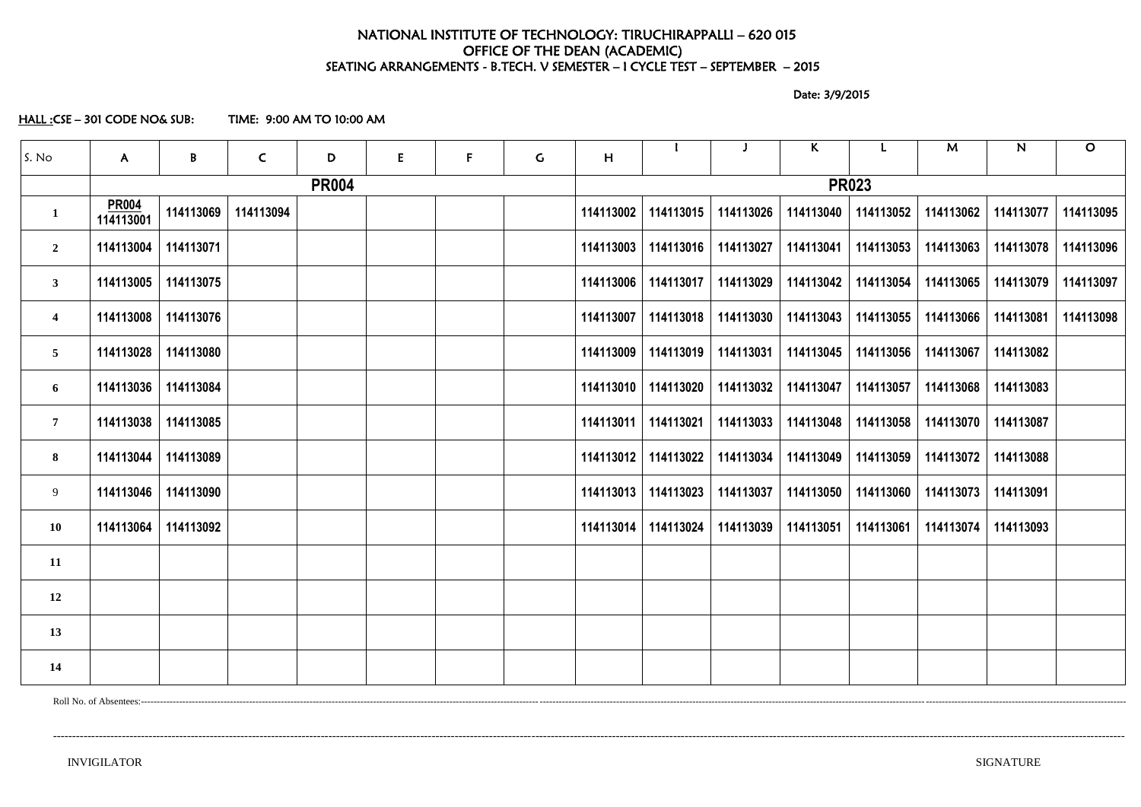### NATIONAL INSTITUTE OF TECHNOLOGY: TIRUCHIRAPPALLI – 620 015 OFFICE OF THE DEAN (ACADEMIC) SEATING ARRANGEMENTS - B.TECH. V SEMESTER – I CYCLE TEST – SEPTEMBER – 2015

Date: 3/9/2015

HALL :CSE – 301 CODE NO& SUB: TIME: 9:00 AM TO 10:00 AM

| S. No                   | $\mathsf{A}$              | $\pmb B$  | $\mathsf{C}$ | D            | E | F | $\mathsf{G}$ | H         |           |           | K                     |              | M         | ${\bf N}$ | $\mathbf O$ |
|-------------------------|---------------------------|-----------|--------------|--------------|---|---|--------------|-----------|-----------|-----------|-----------------------|--------------|-----------|-----------|-------------|
|                         |                           |           |              | <b>PR004</b> |   |   |              |           |           |           |                       | <b>PR023</b> |           |           |             |
| $\mathbf{1}$            | <b>PR004</b><br>114113001 | 114113069 | 114113094    |              |   |   |              | 114113002 | 114113015 | 114113026 | 114113040             | 114113052    | 114113062 | 114113077 | 114113095   |
| $\overline{2}$          | 114113004                 | 114113071 |              |              |   |   |              | 114113003 | 114113016 | 114113027 | 114113041             | 114113053    | 114113063 | 114113078 | 114113096   |
| 3 <sup>7</sup>          | 114113005                 | 114113075 |              |              |   |   |              | 114113006 | 114113017 | 114113029 | 114113042             | 114113054    | 114113065 | 114113079 | 114113097   |
| $\overline{\mathbf{4}}$ | 114113008                 | 114113076 |              |              |   |   |              | 114113007 | 114113018 | 114113030 | 114113043             | 114113055    | 114113066 | 114113081 | 114113098   |
| 5 <sub>5</sub>          | 114113028                 | 114113080 |              |              |   |   |              | 114113009 | 114113019 | 114113031 | 114113045             | 114113056    | 114113067 | 114113082 |             |
| 6                       | 114113036                 | 114113084 |              |              |   |   |              | 114113010 | 114113020 |           | 114113032   114113047 | 114113057    | 114113068 | 114113083 |             |
| $7\phantom{.0}$         | 114113038                 | 114113085 |              |              |   |   |              | 114113011 | 114113021 | 114113033 | 114113048             | 114113058    | 114113070 | 114113087 |             |
| 8                       | 114113044                 | 114113089 |              |              |   |   |              | 114113012 | 114113022 | 114113034 | 114113049             | 114113059    | 114113072 | 114113088 |             |
| 9                       | 114113046                 | 114113090 |              |              |   |   |              | 114113013 | 114113023 | 114113037 | 114113050             | 114113060    | 114113073 | 114113091 |             |
| <b>10</b>               | 114113064                 | 114113092 |              |              |   |   |              | 114113014 | 114113024 | 114113039 | 114113051             | 114113061    | 114113074 | 114113093 |             |
| 11                      |                           |           |              |              |   |   |              |           |           |           |                       |              |           |           |             |
| 12                      |                           |           |              |              |   |   |              |           |           |           |                       |              |           |           |             |
| 13                      |                           |           |              |              |   |   |              |           |           |           |                       |              |           |           |             |
| 14                      |                           |           |              |              |   |   |              |           |           |           |                       |              |           |           |             |

Roll No. of Absentees:---------------------------------------------------------------------------------------------------------------------------------------------------------------------------------------------------------------------------------------------------------------------------------------------------------------------

----------------------------------------------------------------------------------------------------------------------------------------------------------------------------------------------------------------------------------------------------------------------------------------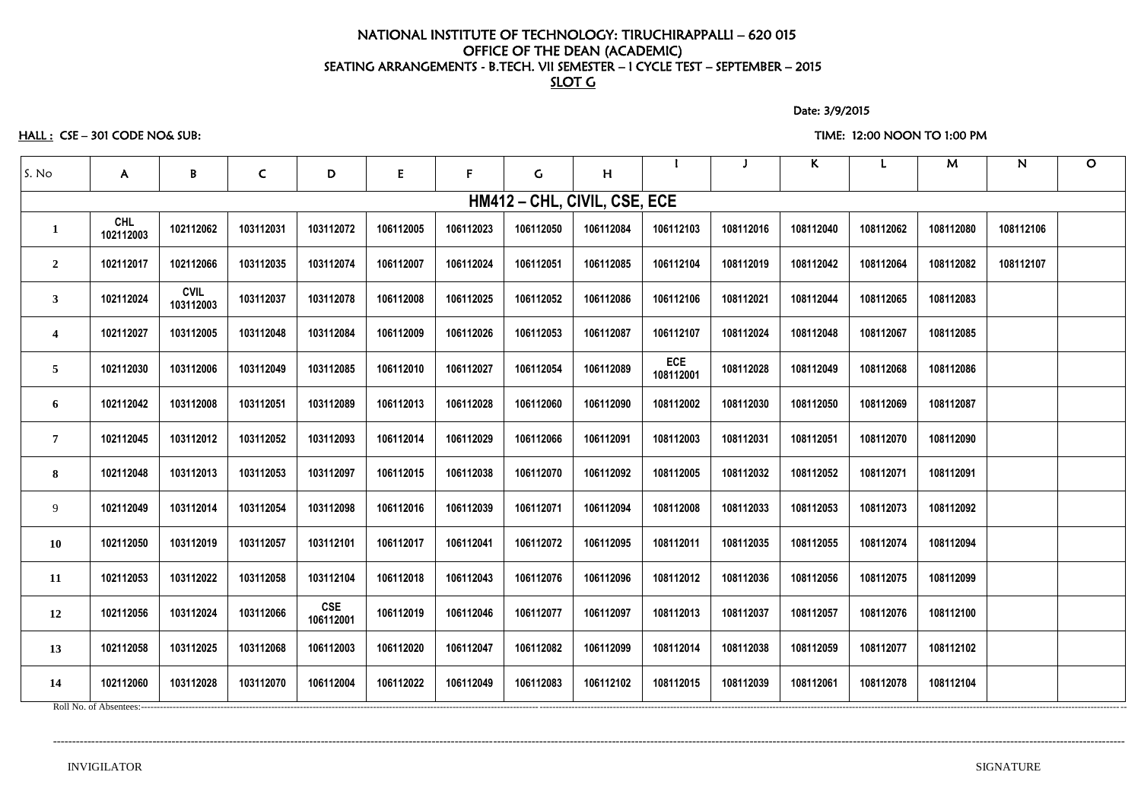### NATIONAL INSTITUTE OF TECHNOLOGY: TIRUCHIRAPPALLI – 620 015 OFFICE OF THE DEAN (ACADEMIC) SEATING ARRANGEMENTS - B.TECH. VII SEMESTER – I CYCLE TEST – SEPTEMBER – 2015 SLOT G

Date: 3/9/2015

### HALL : CSE – 301 CODE NO& SUB: TIME: 12:00 NOON TO 1:00 PM

| $\mathsf{A}$     | B                        | $\mathsf{C}$ | D                       | E         | F.                        | $\mathsf{G}$ | H         |                         |                              | K         |           | M         | N         | $\mathbf{O}$ |
|------------------|--------------------------|--------------|-------------------------|-----------|---------------------------|--------------|-----------|-------------------------|------------------------------|-----------|-----------|-----------|-----------|--------------|
|                  |                          |              |                         |           |                           |              |           |                         |                              |           |           |           |           |              |
| CHL<br>102112003 | 102112062                | 103112031    | 103112072               | 106112005 | 106112023                 | 106112050    | 106112084 | 106112103               | 108112016                    | 108112040 | 108112062 | 108112080 | 108112106 |              |
| 102112017        | 102112066                | 103112035    | 103112074               | 106112007 | 106112024                 | 106112051    | 106112085 | 106112104               | 108112019                    | 108112042 | 108112064 | 108112082 | 108112107 |              |
| 102112024        | <b>CVIL</b><br>103112003 | 103112037    | 103112078               | 106112008 | 106112025                 | 106112052    | 106112086 | 106112106               | 108112021                    | 108112044 | 108112065 | 108112083 |           |              |
| 102112027        | 103112005                | 103112048    | 103112084               | 106112009 | 106112026                 | 106112053    | 106112087 | 106112107               | 108112024                    | 108112048 | 108112067 | 108112085 |           |              |
| 102112030        | 103112006                | 103112049    | 103112085               | 106112010 | 106112027                 | 106112054    | 106112089 | <b>ECE</b><br>108112001 | 108112028                    | 108112049 | 108112068 | 108112086 |           |              |
| 102112042        | 103112008                | 103112051    | 103112089               | 106112013 | 106112028                 | 106112060    | 106112090 | 108112002               | 108112030                    | 108112050 | 108112069 | 108112087 |           |              |
| 102112045        | 103112012                | 103112052    | 103112093               | 106112014 | 106112029                 | 106112066    | 106112091 | 108112003               | 108112031                    | 108112051 | 108112070 | 108112090 |           |              |
| 102112048        | 103112013                | 103112053    | 103112097               | 106112015 | 106112038                 | 106112070    | 106112092 | 108112005               | 108112032                    | 108112052 | 108112071 | 108112091 |           |              |
| 102112049        | 103112014                | 103112054    | 103112098               | 106112016 | 106112039                 | 106112071    | 106112094 | 108112008               | 108112033                    | 108112053 | 108112073 | 108112092 |           |              |
| 102112050        | 103112019                | 103112057    | 103112101               | 106112017 | 106112041                 | 106112072    | 106112095 | 108112011               | 108112035                    | 108112055 | 108112074 | 108112094 |           |              |
| 102112053        | 103112022                | 103112058    | 103112104               | 106112018 | 106112043                 | 106112076    | 106112096 | 108112012               | 108112036                    | 108112056 | 108112075 | 108112099 |           |              |
| 102112056        | 103112024                | 103112066    | <b>CSE</b><br>106112001 | 106112019 | 106112046                 | 106112077    | 106112097 | 108112013               | 108112037                    | 108112057 | 108112076 | 108112100 |           |              |
| 102112058        | 103112025                | 103112068    | 106112003               | 106112020 | 106112047                 | 106112082    | 106112099 | 108112014               | 108112038                    | 108112059 | 108112077 | 108112102 |           |              |
| 102112060        | 103112028                | 103112070    | 106112004               | 106112022 | 106112049                 | 106112083    | 106112102 | 108112015               | 108112039                    | 108112061 | 108112078 | 108112104 |           |              |
|                  |                          |              |                         |           | Roll No. of Absentees:--- |              |           |                         | HM412 - CHL, CIVIL, CSE, ECE |           |           |           |           |              |

----------------------------------------------------------------------------------------------------------------------------------------------------------------------------------------------------------------------------------------------------------------------------------------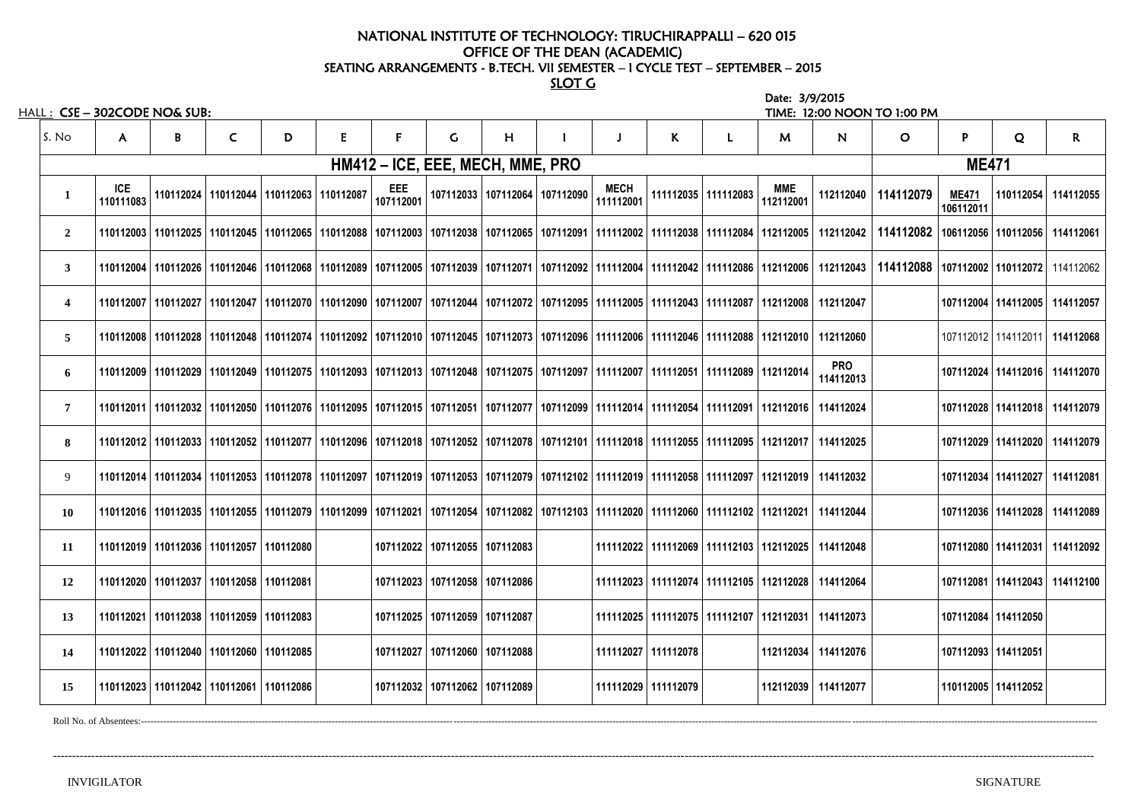# NATIONAL INSTITUTE OF TECHNOLOGY: TIRUCHIRAPPALLI – 620 015 OFFICE OF THE DEAN (ACADEMIC) SEATING ARRANGEMENTS - B.TECH. VII SEMESTER – I CYCLE TEST – SEPTEMBER – 2015

SLOT G

|                         | hall :   CSE – 302CODE NO& SUB: |   |                                                                                                                                                                       |   |   |                                  |                                   |                                   |                                                                                                            |                       |                                               | Date: 3/9/2015          |                         | TIME: 12:00 NOON TO 1:00 PM |                           |                                   |                                   |
|-------------------------|---------------------------------|---|-----------------------------------------------------------------------------------------------------------------------------------------------------------------------|---|---|----------------------------------|-----------------------------------|-----------------------------------|------------------------------------------------------------------------------------------------------------|-----------------------|-----------------------------------------------|-------------------------|-------------------------|-----------------------------|---------------------------|-----------------------------------|-----------------------------------|
| S. No                   | A.                              | B | $\mathsf{C}$                                                                                                                                                          | D | E |                                  | G                                 | H                                 |                                                                                                            | K                     |                                               | M                       | N                       | $\mathbf{O}$                | P                         | Q                                 | $\mathsf{R}$                      |
|                         |                                 |   |                                                                                                                                                                       |   |   | HM412 – ICE, EEE, MECH, MME, PRO |                                   |                                   |                                                                                                            |                       |                                               |                         |                         |                             | <b>ME471</b>              |                                   |                                   |
| $\mathbf{1}$            | <b>ICE</b><br>110111083         |   | 110112024   110112044   110112063   110112087                                                                                                                         |   |   | <b>EEE</b><br>107112001          |                                   | 107112033   107112064   107112090 | <b>MECH</b><br>111112001                                                                                   |                       | 111112035 111112083                           | <b>MME</b><br>112112001 | 112112040               | 114112079                   | <b>ME471</b><br>106112011 |                                   | 110112054 114112055               |
| $\overline{2}$          |                                 |   | 110112003   110112025   110112045   110112065   110112088   107112003   107112038   107112065   107112091   111112002   111112038   111112084   112112005             |   |   |                                  |                                   |                                   |                                                                                                            |                       |                                               |                         | 112112042               | 114112082                   |                           | 106112056   110112056   114112061 |                                   |
| $\mathbf{3}$            |                                 |   | 110112026   110112046   110112046   110112068   110112089   107112005   107112039   107112071   107112092   111112004   111112042   111112086   112112006   112112043 |   |   |                                  |                                   |                                   |                                                                                                            |                       |                                               |                         |                         | 114112088                   |                           |                                   | 107112002   110112072   114112062 |
| $\overline{\mathbf{4}}$ |                                 |   | 110112027   110112027   110112047   110112070   110112090   107112007   107112044   107112072   107112095   111112005   111112043   111112087   112112008   112112047 |   |   |                                  |                                   |                                   |                                                                                                            |                       |                                               |                         |                         |                             |                           |                                   | 107112004   114112005   114112057 |
| $\overline{5}$          |                                 |   | 110112028   110112048   110112048   110112074   110112092   107112010   107112045   107112073   107112096   111112006   111112046   111112088   112112010   112112060 |   |   |                                  |                                   |                                   |                                                                                                            |                       |                                               |                         |                         |                             |                           | 107112012 114112011               | 114112068                         |
| 6                       |                                 |   | 110112029   110112049   110112075   110112093   107112013   107112048   107112075   107112097   111112007   111112051   111112089   112112014                         |   |   |                                  |                                   |                                   |                                                                                                            |                       |                                               |                         | <b>PRO</b><br>114112013 |                             |                           |                                   | 107112024   114112016   114112070 |
| $\overline{7}$          |                                 |   | 110112032   110112050   110112076   110112095   107112015   107112051   107112077   107112099   11112014   111112054   111112091   112112016                          |   |   |                                  |                                   |                                   |                                                                                                            |                       |                                               |                         | 114112024               |                             |                           |                                   | 107112028   114112018   114112079 |
| 8                       |                                 |   | 110112033   110112052   110112077   110112096   107112018   107112052   107112078   107112101   111112018   111112055   111112095   112112017   114112025             |   |   |                                  |                                   |                                   |                                                                                                            |                       |                                               |                         |                         |                             |                           |                                   | 107112029   114112020   114112079 |
| 9                       |                                 |   | 110112014   110112034   110112053   110112078   110112097                                                                                                             |   |   |                                  |                                   |                                   | 107112019   107112053   107112079   107112102   111112019   111112058   111112097   112112019    114112032 |                       |                                               |                         |                         |                             |                           |                                   | 107112034   114112027   114112081 |
| <b>10</b>               |                                 |   | 110112035   110112055   110112079   110112099   107112021   107112054   107112082   107112103   111112020   111112060   111112102   112112021   114112044             |   |   |                                  |                                   |                                   |                                                                                                            |                       |                                               |                         |                         |                             |                           |                                   | 107112036   114112028   114112089 |
| <b>11</b>               |                                 |   | 110112019   110112036   110112057   110112080                                                                                                                         |   |   |                                  | 107112022   107112055   107112083 |                                   |                                                                                                            |                       | 111112022 111112069 1111112103 112112025      |                         | 114112048               |                             |                           |                                   | 107112080   114112031   114112092 |
| 12                      |                                 |   | 110112020   110112037   110112058   110112081                                                                                                                         |   |   |                                  | 107112023   107112058   107112086 |                                   |                                                                                                            |                       | 111112023   111112074   111112105   112112028 |                         | 114112064               |                             |                           |                                   | 107112081   114112043   114112100 |
| 13                      |                                 |   | 110112021   110112038   110112059   110112083                                                                                                                         |   |   |                                  | 107112025   107112059   107112087 |                                   |                                                                                                            |                       | 111112025   111112075   111112107   112112031 |                         | 114112073               |                             |                           | 107112084 114112050               |                                   |
| 14                      |                                 |   | 110112022   110112040   110112060   110112085                                                                                                                         |   |   |                                  | 107112027   107112060   107112088 |                                   |                                                                                                            | 111112027   111112078 |                                               |                         | 112112034 114112076     |                             |                           | 107112093   114112051             |                                   |
| 15                      |                                 |   | 110112023   110112042   110112061   110112086                                                                                                                         |   |   |                                  | 107112032   107112062   107112089 |                                   |                                                                                                            | 111112029 1111112079  |                                               |                         | 112112039 114112077     |                             |                           | 110112005 114112052               |                                   |
|                         |                                 |   |                                                                                                                                                                       |   |   |                                  |                                   |                                   |                                                                                                            |                       |                                               |                         |                         |                             |                           |                                   |                                   |

Roll No. of Absentees:------------------------------------------------------------------------------------------------------------------------------------------------------------------------------------------------------------------------------------------------------------------------------------------------------------

--------------------------------------------------------------------------------------------------------------------------------------------------------------------------------------------------------------------------------------------------------------------------------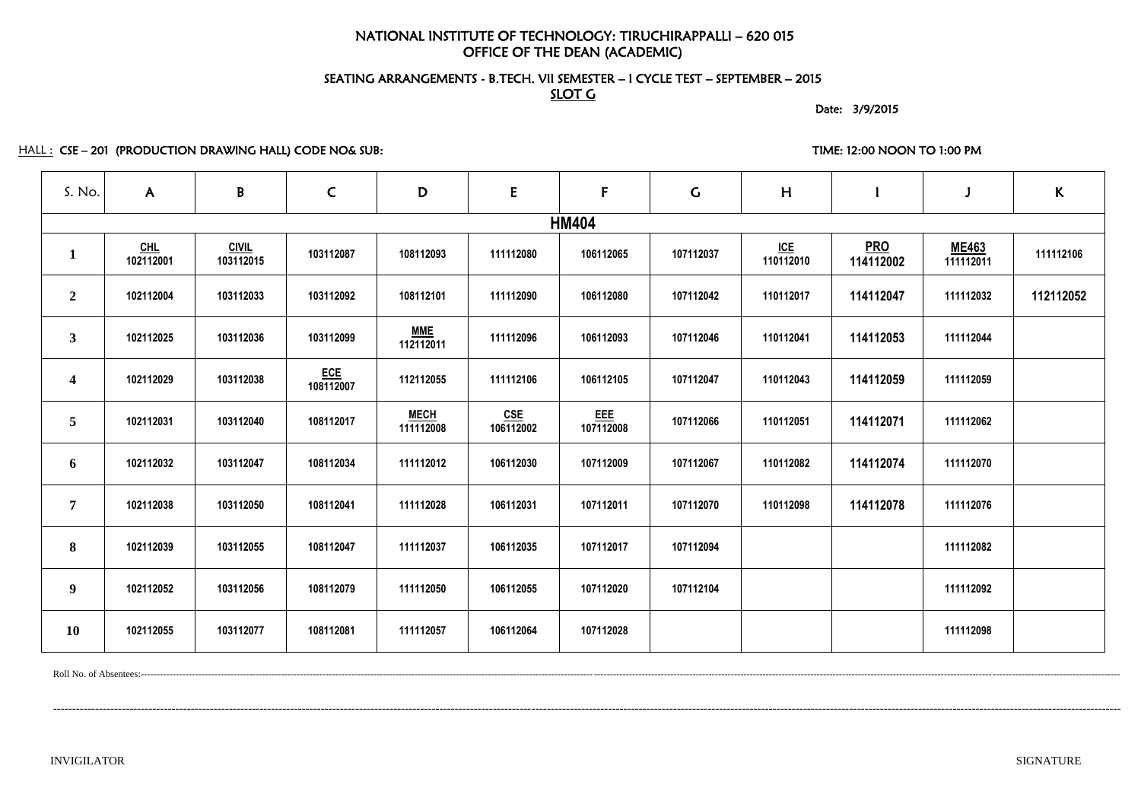# NATIONAL INSTITUTE OF TECHNOLOGY: TIRUCHIRAPPALLI – 620 015 OFFICE OF THE DEAN (ACADEMIC)

# SEATING ARRANGEMENTS - B.TECH. VII SEMESTER – I CYCLE TEST – SEPTEMBER – 2015 SLOT G

Date: 3/9/2015

HALL : CSE-201 (PRODUCTION DRAWING HALL) CODE NO& SUB: TIME: 12:00 NOON TO 1:00 PM

| S. No.                  | $\mathsf{A}$       | $\mathsf B$               | $\mathsf{C}$            | D                        | ${\sf E}$        | F                       | $\mathsf{G}$ | H                |                         |                           | $\mathsf{K}$ |
|-------------------------|--------------------|---------------------------|-------------------------|--------------------------|------------------|-------------------------|--------------|------------------|-------------------------|---------------------------|--------------|
|                         |                    |                           |                         |                          |                  | <b>HM404</b>            |              |                  |                         |                           |              |
| $\mathbf{1}$            | $CHL$<br>102112001 | <b>CIVIL</b><br>103112015 | 103112087               | 108112093                | 111112080        | 106112065               | 107112037    | ICE<br>110112010 | <b>PRO</b><br>114112002 | <b>ME463</b><br>111112011 | 111112106    |
| $\overline{2}$          | 102112004          | 103112033                 | 103112092               | 108112101                | 111112090        | 106112080               | 107112042    | 110112017        | 114112047               | 111112032                 | 112112052    |
| $\mathbf{3}$            | 102112025          | 103112036                 | 103112099               | <b>MME</b><br>112112011  | 111112096        | 106112093               | 107112046    | 110112041        | 114112053               | 111112044                 |              |
| $\overline{\mathbf{4}}$ | 102112029          | 103112038                 | <b>ECE</b><br>108112007 | 112112055                | 111112106        | 106112105               | 107112047    | 110112043        | 114112059               | 111112059                 |              |
| 5 <sup>5</sup>          | 102112031          | 103112040                 | 108112017               | <b>MECH</b><br>111112008 | CSE<br>106112002 | <u>EEE</u><br>107112008 | 107112066    | 110112051        | 114112071               | 111112062                 |              |
| 6                       | 102112032          | 103112047                 | 108112034               | 111112012                | 106112030        | 107112009               | 107112067    | 110112082        | 114112074               | 111112070                 |              |
| $\overline{7}$          | 102112038          | 103112050                 | 108112041               | 111112028                | 106112031        | 107112011               | 107112070    | 110112098        | 114112078               | 111112076                 |              |
| 8                       | 102112039          | 103112055                 | 108112047               | 111112037                | 106112035        | 107112017               | 107112094    |                  |                         | 111112082                 |              |
| $\boldsymbol{9}$        | 102112052          | 103112056                 | 108112079               | 111112050                | 106112055        | 107112020               | 107112104    |                  |                         | 111112092                 |              |
| <b>10</b>               | 102112055          | 103112077                 | 108112081               | 111112057                | 106112064        | 107112028               |              |                  |                         | 111112098                 |              |

Roll No. of Absentees:-------------------------------------------------------------------------------------------------------------------------------------------------------------------------------------------------------------------------------------------------------------------------------------------------------------------

---------------------------------------------------------------------------------------------------------------------------------------------------------------------------------------------------------------------------------------------------------------------------------------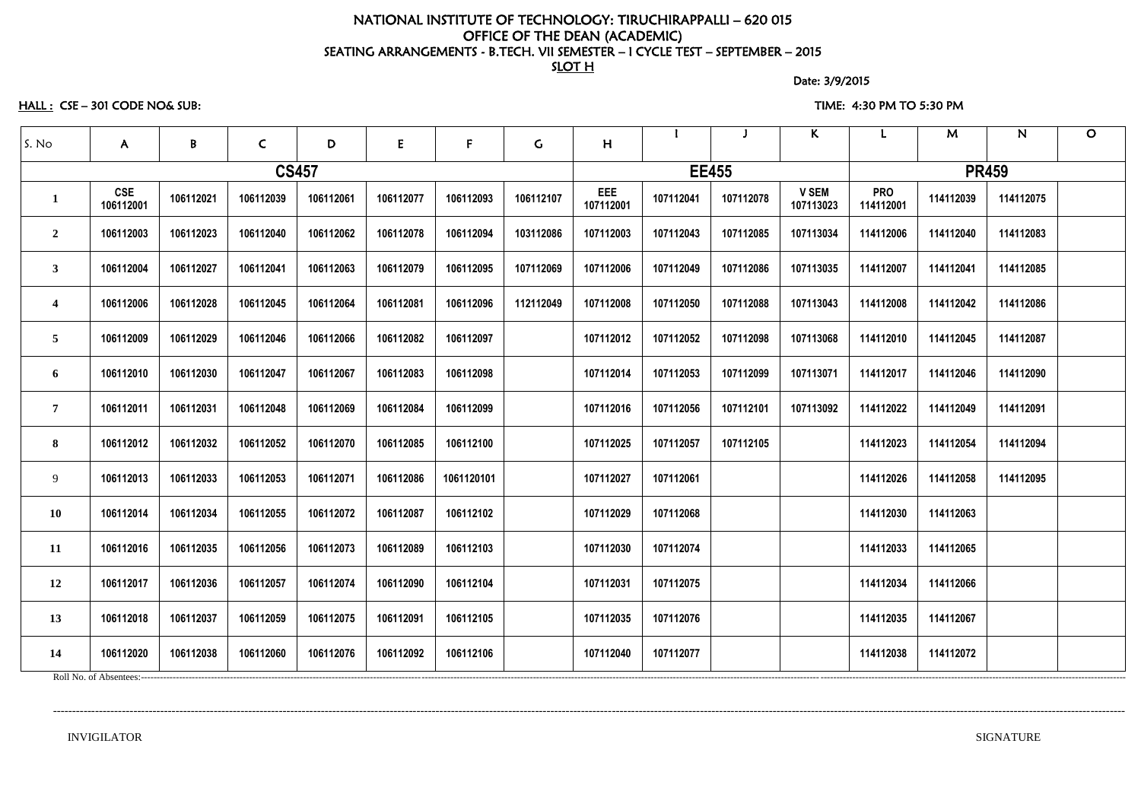### NATIONAL INSTITUTE OF TECHNOLOGY: TIRUCHIRAPPALLI – 620 015 OFFICE OF THE DEAN (ACADEMIC) SEATING ARRANGEMENTS - B.TECH. VII SEMESTER – I CYCLE TEST – SEPTEMBER – 2015 SLOT<sub>H</sub>

Date: 3/9/2015

HALL : CSE – 301 CODE NO& SUB: TIME: 4:30 PM TO 5:30 PM

| S. No                   | $\mathsf{A}$            | $\mathbf{B}$ | $\mathsf{C}$ | D         | E         | F          | G         | H                |           |              | $\kappa$                  |                         | M            | N         | $\mathbf O$ |
|-------------------------|-------------------------|--------------|--------------|-----------|-----------|------------|-----------|------------------|-----------|--------------|---------------------------|-------------------------|--------------|-----------|-------------|
|                         |                         |              | <b>CS457</b> |           |           |            |           |                  |           | <b>EE455</b> |                           |                         | <b>PR459</b> |           |             |
| $\mathbf 1$             | <b>CSE</b><br>106112001 | 106112021    | 106112039    | 106112061 | 106112077 | 106112093  | 106112107 | EEE<br>107112001 | 107112041 | 107112078    | <b>V SEM</b><br>107113023 | <b>PRO</b><br>114112001 | 114112039    | 114112075 |             |
| $\overline{2}$          | 106112003               | 106112023    | 106112040    | 106112062 | 106112078 | 106112094  | 103112086 | 107112003        | 107112043 | 107112085    | 107113034                 | 114112006               | 114112040    | 114112083 |             |
| 3                       | 106112004               | 106112027    | 106112041    | 106112063 | 106112079 | 106112095  | 107112069 | 107112006        | 107112049 | 107112086    | 107113035                 | 114112007               | 114112041    | 114112085 |             |
| $\overline{\mathbf{4}}$ | 106112006               | 106112028    | 106112045    | 106112064 | 106112081 | 106112096  | 112112049 | 107112008        | 107112050 | 107112088    | 107113043                 | 114112008               | 114112042    | 114112086 |             |
| 5                       | 106112009               | 106112029    | 106112046    | 106112066 | 106112082 | 106112097  |           | 107112012        | 107112052 | 107112098    | 107113068                 | 114112010               | 114112045    | 114112087 |             |
| 6                       | 106112010               | 106112030    | 106112047    | 106112067 | 106112083 | 106112098  |           | 107112014        | 107112053 | 107112099    | 107113071                 | 114112017               | 114112046    | 114112090 |             |
| $\overline{7}$          | 106112011               | 106112031    | 106112048    | 106112069 | 106112084 | 106112099  |           | 107112016        | 107112056 | 107112101    | 107113092                 | 114112022               | 114112049    | 114112091 |             |
| 8                       | 106112012               | 106112032    | 106112052    | 106112070 | 106112085 | 106112100  |           | 107112025        | 107112057 | 107112105    |                           | 114112023               | 114112054    | 114112094 |             |
| 9                       | 106112013               | 106112033    | 106112053    | 106112071 | 106112086 | 1061120101 |           | 107112027        | 107112061 |              |                           | 114112026               | 114112058    | 114112095 |             |
| 10                      | 106112014               | 106112034    | 106112055    | 106112072 | 106112087 | 106112102  |           | 107112029        | 107112068 |              |                           | 114112030               | 114112063    |           |             |
| 11                      | 106112016               | 106112035    | 106112056    | 106112073 | 106112089 | 106112103  |           | 107112030        | 107112074 |              |                           | 114112033               | 114112065    |           |             |
| 12                      | 106112017               | 106112036    | 106112057    | 106112074 | 106112090 | 106112104  |           | 107112031        | 107112075 |              |                           | 114112034               | 114112066    |           |             |
| 13                      | 106112018               | 106112037    | 106112059    | 106112075 | 106112091 | 106112105  |           | 107112035        | 107112076 |              |                           | 114112035               | 114112067    |           |             |
| 14                      | 106112020               | 106112038    | 106112060    | 106112076 | 106112092 | 106112106  |           | 107112040        | 107112077 |              |                           | 114112038               | 114112072    |           |             |
|                         |                         |              |              |           |           |            |           |                  |           |              |                           |                         |              |           |             |

----------------------------------------------------------------------------------------------------------------------------------------------------------------------------------------------------------------------------------------------------------------------------------------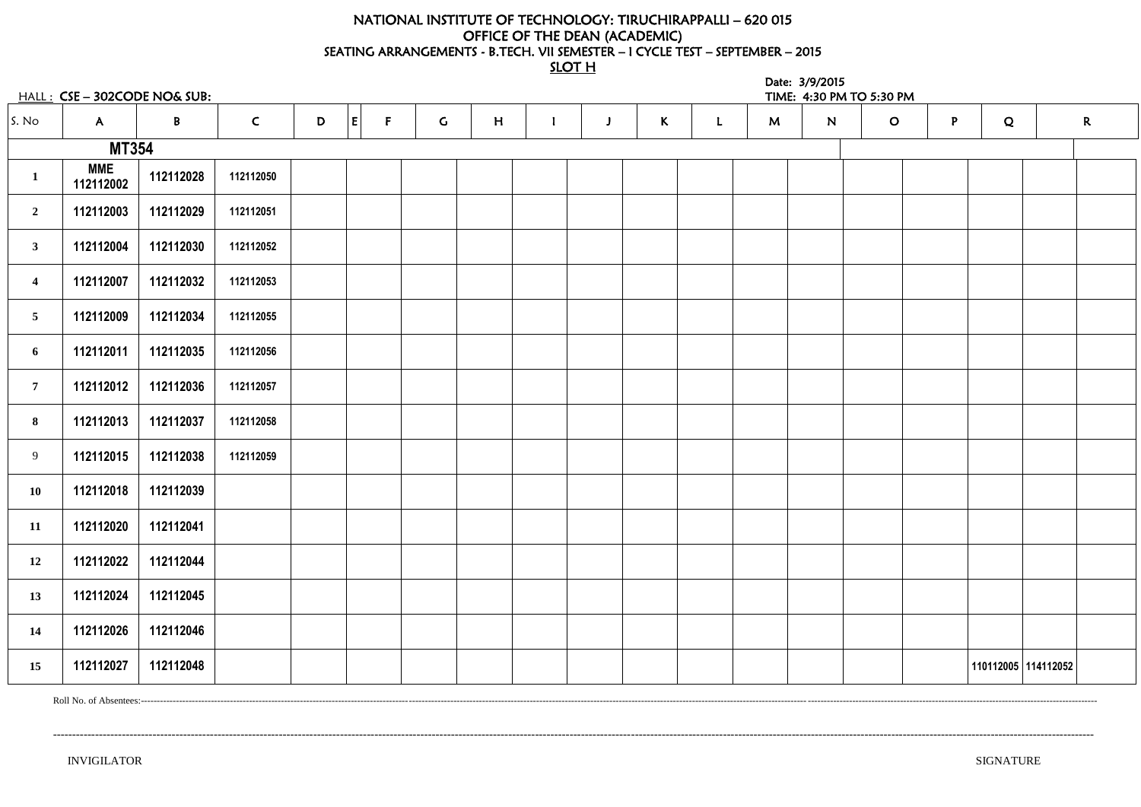# NATIONAL INSTITUTE OF TECHNOLOGY: TIRUCHIRAPPALLI – 620 015 OFFICE OF THE DEAN (ACADEMIC) SEATING ARRANGEMENTS - B.TECH. VII SEMESTER – I CYCLE TEST – SEPTEMBER – 2015

SLOT H

|                         | $HALL: CSE - 302CODE NO& SUB:$ |              |              |   |                    |             |   |   |              |              |   | Date: 3/9/2015 | TIME: 4:30 PM TO 5:30 PM |   |   |                     |             |
|-------------------------|--------------------------------|--------------|--------------|---|--------------------|-------------|---|---|--------------|--------------|---|----------------|--------------------------|---|---|---------------------|-------------|
| S. No                   | $\mathsf{A}$                   | $\mathbf{B}$ | $\mathsf{C}$ | D | E <br>$\mathsf{F}$ | $\mathsf C$ | H | J | $\mathsf{K}$ | $\mathbf{L}$ | M | N              | $\mathbf{O}$             | P | Q |                     | $\mathbf R$ |
|                         | <b>MT354</b>                   |              |              |   |                    |             |   |   |              |              |   |                |                          |   |   |                     |             |
| $\mathbf{1}$            | <b>MME</b><br>112112002        | 112112028    | 112112050    |   |                    |             |   |   |              |              |   |                |                          |   |   |                     |             |
| $\overline{2}$          | 112112003                      | 112112029    | 112112051    |   |                    |             |   |   |              |              |   |                |                          |   |   |                     |             |
| 3                       | 112112004                      | 112112030    | 112112052    |   |                    |             |   |   |              |              |   |                |                          |   |   |                     |             |
| $\overline{\mathbf{4}}$ | 112112007                      | 112112032    | 112112053    |   |                    |             |   |   |              |              |   |                |                          |   |   |                     |             |
| $\overline{5}$          | 112112009                      | 112112034    | 112112055    |   |                    |             |   |   |              |              |   |                |                          |   |   |                     |             |
| 6                       | 112112011                      | 112112035    | 112112056    |   |                    |             |   |   |              |              |   |                |                          |   |   |                     |             |
| $\overline{7}$          | 112112012                      | 112112036    | 112112057    |   |                    |             |   |   |              |              |   |                |                          |   |   |                     |             |
| 8                       | 112112013                      | 112112037    | 112112058    |   |                    |             |   |   |              |              |   |                |                          |   |   |                     |             |
| 9                       | 112112015                      | 112112038    | 112112059    |   |                    |             |   |   |              |              |   |                |                          |   |   |                     |             |
| <b>10</b>               | 112112018                      | 112112039    |              |   |                    |             |   |   |              |              |   |                |                          |   |   |                     |             |
| 11                      | 112112020                      | 112112041    |              |   |                    |             |   |   |              |              |   |                |                          |   |   |                     |             |
| 12                      | 112112022                      | 112112044    |              |   |                    |             |   |   |              |              |   |                |                          |   |   |                     |             |
| 13                      | 112112024                      | 112112045    |              |   |                    |             |   |   |              |              |   |                |                          |   |   |                     |             |
| 14                      | 112112026                      | 112112046    |              |   |                    |             |   |   |              |              |   |                |                          |   |   |                     |             |
| 15                      | 112112027                      | 112112048    |              |   |                    |             |   |   |              |              |   |                |                          |   |   | 110112005 114112052 |             |

Roll No. of Absentees:------------------------------------------------------------------------------------------------------------------------------------------------------------------------------------------------------------------------------------------------------------------------------------------------------------

--------------------------------------------------------------------------------------------------------------------------------------------------------------------------------------------------------------------------------------------------------------------------------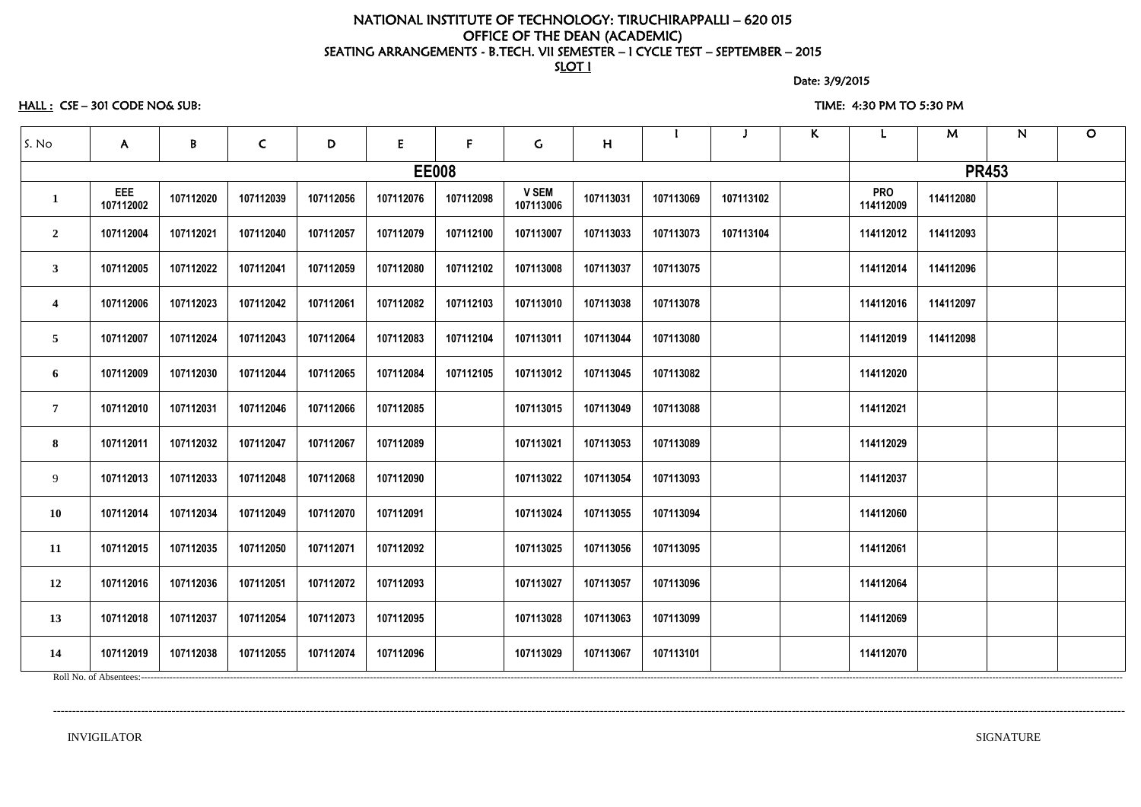### NATIONAL INSTITUTE OF TECHNOLOGY: TIRUCHIRAPPALLI – 620 015 OFFICE OF THE DEAN (ACADEMIC) SEATING ARRANGEMENTS - B.TECH. VII SEMESTER – I CYCLE TEST – SEPTEMBER – 2015 SLOT I

Date: 3/9/2015

HALL : CSE – 301 CODE NO& SUB: TIME: 4:30 PM TO 5:30 PM

| S. No                   | $\mathsf{A}$            | B         | $\mathsf C$ | D         | E         | F            | G.                        | H         |           |           | $\mathsf{K}$ |                         | M         | N            | $\mathbf O$ |
|-------------------------|-------------------------|-----------|-------------|-----------|-----------|--------------|---------------------------|-----------|-----------|-----------|--------------|-------------------------|-----------|--------------|-------------|
|                         |                         |           |             |           |           | <b>EE008</b> |                           |           |           |           |              |                         |           | <b>PR453</b> |             |
| $\mathbf{1}$            | <b>EEE</b><br>107112002 | 107112020 | 107112039   | 107112056 | 107112076 | 107112098    | <b>V SEM</b><br>107113006 | 107113031 | 107113069 | 107113102 |              | <b>PRO</b><br>114112009 | 114112080 |              |             |
| $\overline{2}$          | 107112004               | 107112021 | 107112040   | 107112057 | 107112079 | 107112100    | 107113007                 | 107113033 | 107113073 | 107113104 |              | 114112012               | 114112093 |              |             |
| $\mathbf{3}$            | 107112005               | 107112022 | 107112041   | 107112059 | 107112080 | 107112102    | 107113008                 | 107113037 | 107113075 |           |              | 114112014               | 114112096 |              |             |
| $\overline{\mathbf{4}}$ | 107112006               | 107112023 | 107112042   | 107112061 | 107112082 | 107112103    | 107113010                 | 107113038 | 107113078 |           |              | 114112016               | 114112097 |              |             |
| $5\overline{)}$         | 107112007               | 107112024 | 107112043   | 107112064 | 107112083 | 107112104    | 107113011                 | 107113044 | 107113080 |           |              | 114112019               | 114112098 |              |             |
| 6                       | 107112009               | 107112030 | 107112044   | 107112065 | 107112084 | 107112105    | 107113012                 | 107113045 | 107113082 |           |              | 114112020               |           |              |             |
| $\overline{7}$          | 107112010               | 107112031 | 107112046   | 107112066 | 107112085 |              | 107113015                 | 107113049 | 107113088 |           |              | 114112021               |           |              |             |
| 8                       | 107112011               | 107112032 | 107112047   | 107112067 | 107112089 |              | 107113021                 | 107113053 | 107113089 |           |              | 114112029               |           |              |             |
| 9                       | 107112013               | 107112033 | 107112048   | 107112068 | 107112090 |              | 107113022                 | 107113054 | 107113093 |           |              | 114112037               |           |              |             |
| <b>10</b>               | 107112014               | 107112034 | 107112049   | 107112070 | 107112091 |              | 107113024                 | 107113055 | 107113094 |           |              | 114112060               |           |              |             |
| <b>11</b>               | 107112015               | 107112035 | 107112050   | 107112071 | 107112092 |              | 107113025                 | 107113056 | 107113095 |           |              | 114112061               |           |              |             |
| 12                      | 107112016               | 107112036 | 107112051   | 107112072 | 107112093 |              | 107113027                 | 107113057 | 107113096 |           |              | 114112064               |           |              |             |
| 13                      | 107112018               | 107112037 | 107112054   | 107112073 | 107112095 |              | 107113028                 | 107113063 | 107113099 |           |              | 114112069               |           |              |             |
| 14                      | 107112019               | 107112038 | 107112055   | 107112074 | 107112096 |              | 107113029                 | 107113067 | 107113101 |           |              | 114112070               |           |              |             |
|                         |                         |           |             |           |           |              |                           |           |           |           |              |                         |           |              |             |

----------------------------------------------------------------------------------------------------------------------------------------------------------------------------------------------------------------------------------------------------------------------------------------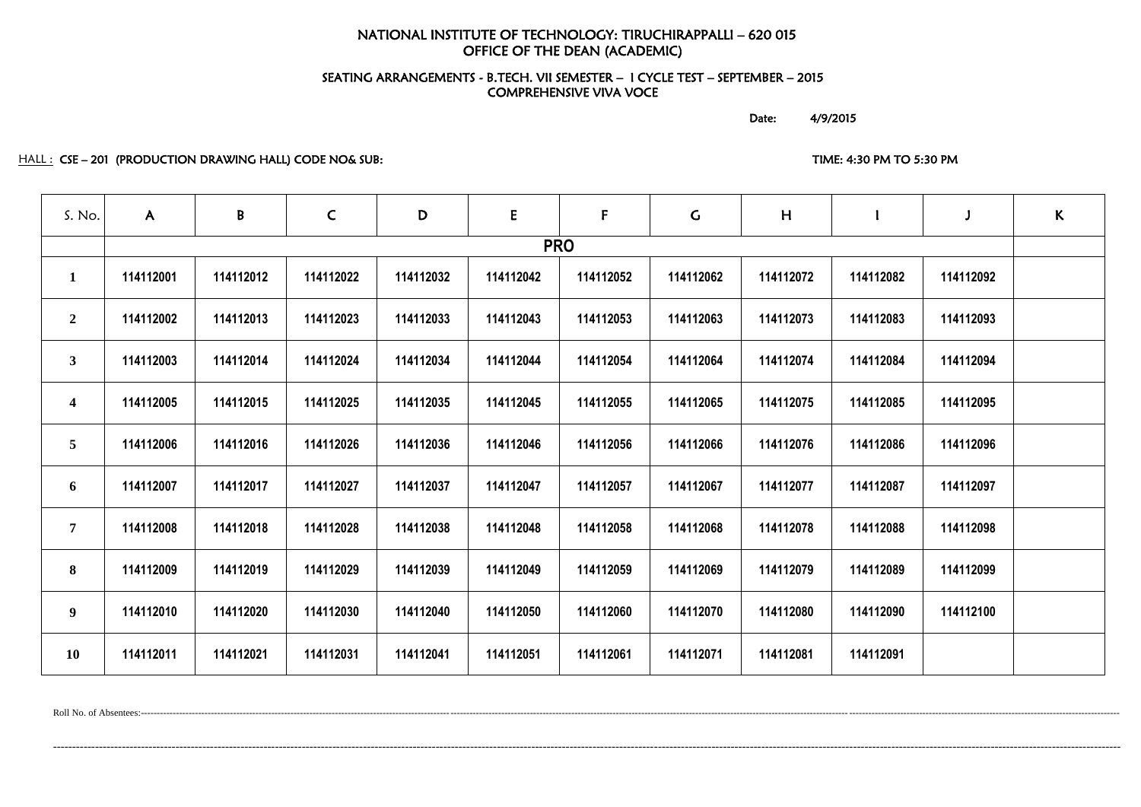# NATIONAL INSTITUTE OF TECHNOLOGY: TIRUCHIRAPPALLI – 620 015 OFFICE OF THE DEAN (ACADEMIC)

### SEATING ARRANGEMENTS - B.TECH. VII SEMESTER – I CYCLE TEST – SEPTEMBER – 2015 COMPREHENSIVE VIVA VOCE

Date: 4/9/2015

### HALL : CSE – 201 (PRODUCTION DRAWING HALL) CODE NO& SUB: TIME: 4:30 PM TO 5:30 PM TO 5:30 PM

| S. No.                  | $\mathsf{A}$ | B         | $\mathsf{C}$ | D         | E         | $\mathsf{F}$ | $\mathsf C$ | H         |           | $\mathsf{J}$ | K |
|-------------------------|--------------|-----------|--------------|-----------|-----------|--------------|-------------|-----------|-----------|--------------|---|
|                         |              |           |              |           |           | <b>PRO</b>   |             |           |           |              |   |
| $\mathbf{1}$            | 114112001    | 114112012 | 114112022    | 114112032 | 114112042 | 114112052    | 114112062   | 114112072 | 114112082 | 114112092    |   |
| $\overline{2}$          | 114112002    | 114112013 | 114112023    | 114112033 | 114112043 | 114112053    | 114112063   | 114112073 | 114112083 | 114112093    |   |
| $\mathbf{3}$            | 114112003    | 114112014 | 114112024    | 114112034 | 114112044 | 114112054    | 114112064   | 114112074 | 114112084 | 114112094    |   |
| $\overline{\mathbf{4}}$ | 114112005    | 114112015 | 114112025    | 114112035 | 114112045 | 114112055    | 114112065   | 114112075 | 114112085 | 114112095    |   |
| $5\overline{)}$         | 114112006    | 114112016 | 114112026    | 114112036 | 114112046 | 114112056    | 114112066   | 114112076 | 114112086 | 114112096    |   |
| 6                       | 114112007    | 114112017 | 114112027    | 114112037 | 114112047 | 114112057    | 114112067   | 114112077 | 114112087 | 114112097    |   |
| $\overline{7}$          | 114112008    | 114112018 | 114112028    | 114112038 | 114112048 | 114112058    | 114112068   | 114112078 | 114112088 | 114112098    |   |
| 8                       | 114112009    | 114112019 | 114112029    | 114112039 | 114112049 | 114112059    | 114112069   | 114112079 | 114112089 | 114112099    |   |
| 9                       | 114112010    | 114112020 | 114112030    | 114112040 | 114112050 | 114112060    | 114112070   | 114112080 | 114112090 | 114112100    |   |
| <b>10</b>               | 114112011    | 114112021 | 114112031    | 114112041 | 114112051 | 114112061    | 114112071   | 114112081 | 114112091 |              |   |

Roll No. of Absentees:-------------------------------------------------------------------------------------------------------------------------------------------------------------------------------------------------------------------------------------------------------------------------------------------------------------------

---------------------------------------------------------------------------------------------------------------------------------------------------------------------------------------------------------------------------------------------------------------------------------------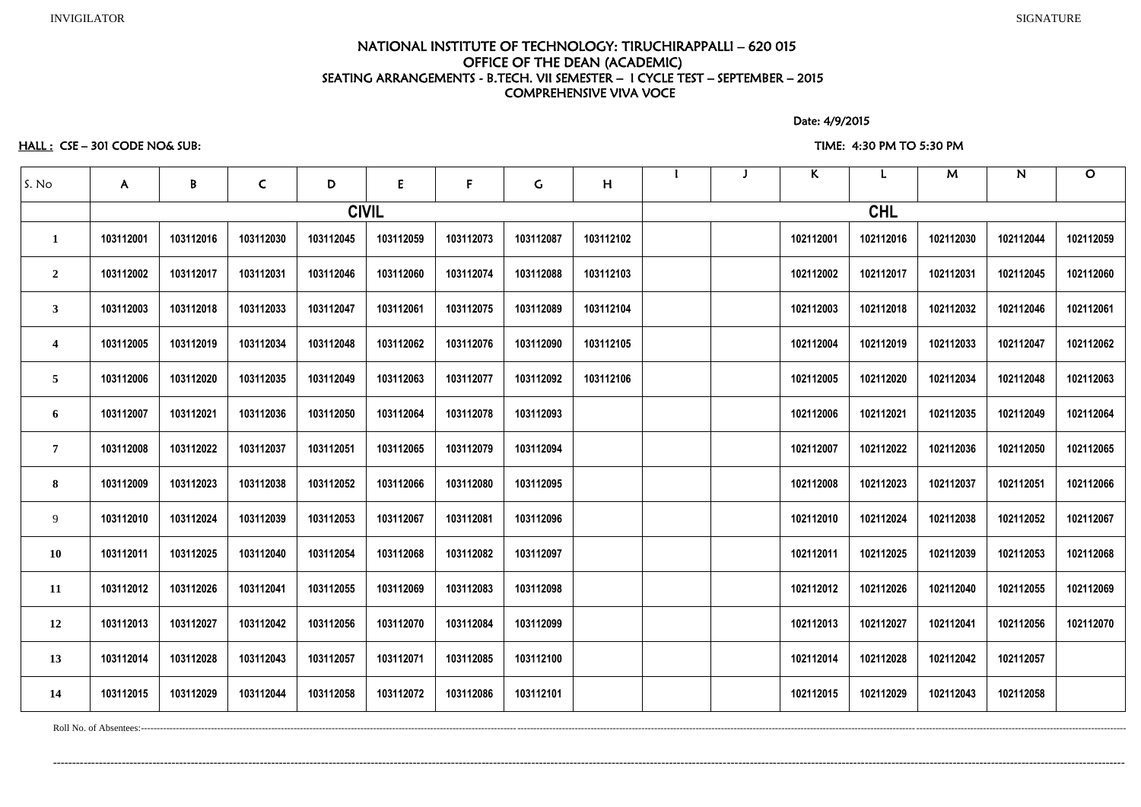### NATIONAL INSTITUTE OF TECHNOLOGY: TIRUCHIRAPPALLI – 620 015 OFFICE OF THE DEAN (ACADEMIC) SEATING ARRANGEMENTS - B.TECH. VII SEMESTER – I CYCLE TEST – SEPTEMBER – 2015 COMPREHENSIVE VIVA VOCE

Date: 4/9/2015

### HALL : CSE – 301 CODE NO& SUB: TIME: 4:30 PM TO 5:30 PM

|                         |              |           |              |           |              |             |             |           |  | $\kappa$  |            | M         | N         | $\mathbf O$ |
|-------------------------|--------------|-----------|--------------|-----------|--------------|-------------|-------------|-----------|--|-----------|------------|-----------|-----------|-------------|
| S. No                   | $\mathsf{A}$ | B         | $\mathsf{C}$ | D         | E            | $\mathsf F$ | $\mathsf C$ | H         |  |           |            |           |           |             |
|                         |              |           |              |           | <b>CIVIL</b> |             |             |           |  |           | <b>CHL</b> |           |           |             |
| $\mathbf{1}$            | 103112001    | 103112016 | 103112030    | 103112045 | 103112059    | 103112073   | 103112087   | 103112102 |  | 102112001 | 102112016  | 102112030 | 102112044 | 102112059   |
| $\overline{2}$          | 103112002    | 103112017 | 103112031    | 103112046 | 103112060    | 103112074   | 103112088   | 103112103 |  | 102112002 | 102112017  | 102112031 | 102112045 | 102112060   |
| $\mathbf{3}$            | 103112003    | 103112018 | 103112033    | 103112047 | 103112061    | 103112075   | 103112089   | 103112104 |  | 102112003 | 102112018  | 102112032 | 102112046 | 102112061   |
| $\overline{\mathbf{4}}$ | 103112005    | 103112019 | 103112034    | 103112048 | 103112062    | 103112076   | 103112090   | 103112105 |  | 102112004 | 102112019  | 102112033 | 102112047 | 102112062   |
| 5                       | 103112006    | 103112020 | 103112035    | 103112049 | 103112063    | 103112077   | 103112092   | 103112106 |  | 102112005 | 102112020  | 102112034 | 102112048 | 102112063   |
| 6                       | 103112007    | 103112021 | 103112036    | 103112050 | 103112064    | 103112078   | 103112093   |           |  | 102112006 | 102112021  | 102112035 | 102112049 | 102112064   |
| $\overline{7}$          | 103112008    | 103112022 | 103112037    | 103112051 | 103112065    | 103112079   | 103112094   |           |  | 102112007 | 102112022  | 102112036 | 102112050 | 102112065   |
| 8                       | 103112009    | 103112023 | 103112038    | 103112052 | 103112066    | 103112080   | 103112095   |           |  | 102112008 | 102112023  | 102112037 | 102112051 | 102112066   |
| 9                       | 103112010    | 103112024 | 103112039    | 103112053 | 103112067    | 103112081   | 103112096   |           |  | 102112010 | 102112024  | 102112038 | 102112052 | 102112067   |
| 10                      | 103112011    | 103112025 | 103112040    | 103112054 | 103112068    | 103112082   | 103112097   |           |  | 102112011 | 102112025  | 102112039 | 102112053 | 102112068   |
| 11                      | 103112012    | 103112026 | 103112041    | 103112055 | 103112069    | 103112083   | 103112098   |           |  | 102112012 | 102112026  | 102112040 | 102112055 | 102112069   |
| 12                      | 103112013    | 103112027 | 103112042    | 103112056 | 103112070    | 103112084   | 103112099   |           |  | 102112013 | 102112027  | 102112041 | 102112056 | 102112070   |
| 13                      | 103112014    | 103112028 | 103112043    | 103112057 | 103112071    | 103112085   | 103112100   |           |  | 102112014 | 102112028  | 102112042 | 102112057 |             |
| 14                      | 103112015    | 103112029 | 103112044    | 103112058 | 103112072    | 103112086   | 103112101   |           |  | 102112015 | 102112029  | 102112043 | 102112058 |             |

Roll No. of Absentees:---------------------------------------------------------------------------------------------------------------------------------------------------------------------------------------------------------------------------------------------------------------------------------------------------------------------

----------------------------------------------------------------------------------------------------------------------------------------------------------------------------------------------------------------------------------------------------------------------------------------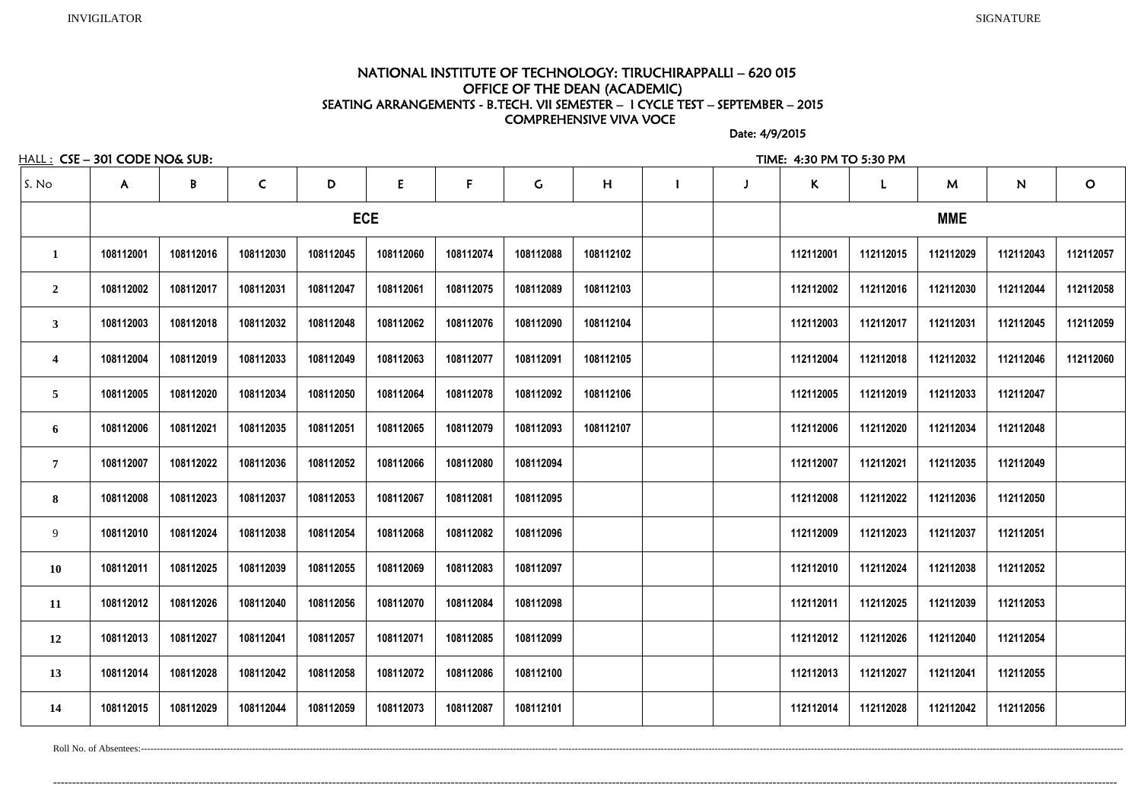### NATIONAL INSTITUTE OF TECHNOLOGY: TIRUCHIRAPPALLI – 620 015 OFFICE OF THE DEAN (ACADEMIC) SEATING ARRANGEMENTS - B.TECH. VII SEMESTER – I CYCLE TEST – SEPTEMBER – 2015 COMPREHENSIVE VIVA VOCE

Date: 4/9/2015

HALL : CSE – 301 CODE NO& SUB: TIME: 4:30 PM TO 5:30 PM

| S. No                   | $\mathsf{A}$ | $\pmb B$  | $\mathsf{C}$ | D         | E          | $\mathbf{F}$ | G         | H         |  | $\mathsf K$ | L         | M          | N         | $\mathbf O$ |
|-------------------------|--------------|-----------|--------------|-----------|------------|--------------|-----------|-----------|--|-------------|-----------|------------|-----------|-------------|
|                         |              |           |              |           | <b>ECE</b> |              |           |           |  |             |           | <b>MME</b> |           |             |
| $\mathbf 1$             | 108112001    | 108112016 | 108112030    | 108112045 | 108112060  | 108112074    | 108112088 | 108112102 |  | 112112001   | 112112015 | 112112029  | 112112043 | 112112057   |
| $\overline{2}$          | 108112002    | 108112017 | 108112031    | 108112047 | 108112061  | 108112075    | 108112089 | 108112103 |  | 112112002   | 112112016 | 112112030  | 112112044 | 112112058   |
| $\mathbf{3}$            | 108112003    | 108112018 | 108112032    | 108112048 | 108112062  | 108112076    | 108112090 | 108112104 |  | 112112003   | 112112017 | 112112031  | 112112045 | 112112059   |
| $\overline{\mathbf{4}}$ | 108112004    | 108112019 | 108112033    | 108112049 | 108112063  | 108112077    | 108112091 | 108112105 |  | 112112004   | 112112018 | 112112032  | 112112046 | 112112060   |
| $\overline{5}$          | 108112005    | 108112020 | 108112034    | 108112050 | 108112064  | 108112078    | 108112092 | 108112106 |  | 112112005   | 112112019 | 112112033  | 112112047 |             |
| 6                       | 108112006    | 108112021 | 108112035    | 108112051 | 108112065  | 108112079    | 108112093 | 108112107 |  | 112112006   | 112112020 | 112112034  | 112112048 |             |
| $\overline{7}$          | 108112007    | 108112022 | 108112036    | 108112052 | 108112066  | 108112080    | 108112094 |           |  | 112112007   | 112112021 | 112112035  | 112112049 |             |
| 8                       | 108112008    | 108112023 | 108112037    | 108112053 | 108112067  | 108112081    | 108112095 |           |  | 112112008   | 112112022 | 112112036  | 112112050 |             |
| 9                       | 108112010    | 108112024 | 108112038    | 108112054 | 108112068  | 108112082    | 108112096 |           |  | 112112009   | 112112023 | 112112037  | 112112051 |             |
| 10                      | 108112011    | 108112025 | 108112039    | 108112055 | 108112069  | 108112083    | 108112097 |           |  | 112112010   | 112112024 | 112112038  | 112112052 |             |
| 11                      | 108112012    | 108112026 | 108112040    | 108112056 | 108112070  | 108112084    | 108112098 |           |  | 112112011   | 112112025 | 112112039  | 112112053 |             |
| 12                      | 108112013    | 108112027 | 108112041    | 108112057 | 108112071  | 108112085    | 108112099 |           |  | 112112012   | 112112026 | 112112040  | 112112054 |             |
| 13                      | 108112014    | 108112028 | 108112042    | 108112058 | 108112072  | 108112086    | 108112100 |           |  | 112112013   | 112112027 | 112112041  | 112112055 |             |
| 14                      | 108112015    | 108112029 | 108112044    | 108112059 | 108112073  | 108112087    | 108112101 |           |  | 112112014   | 112112028 | 112112042  | 112112056 |             |

--------------------------------------------------------------------------------------------------------------------------------------------------------------------------------------------------------------------------------------------------------------------------------------

Roll No. of Absentees:---------------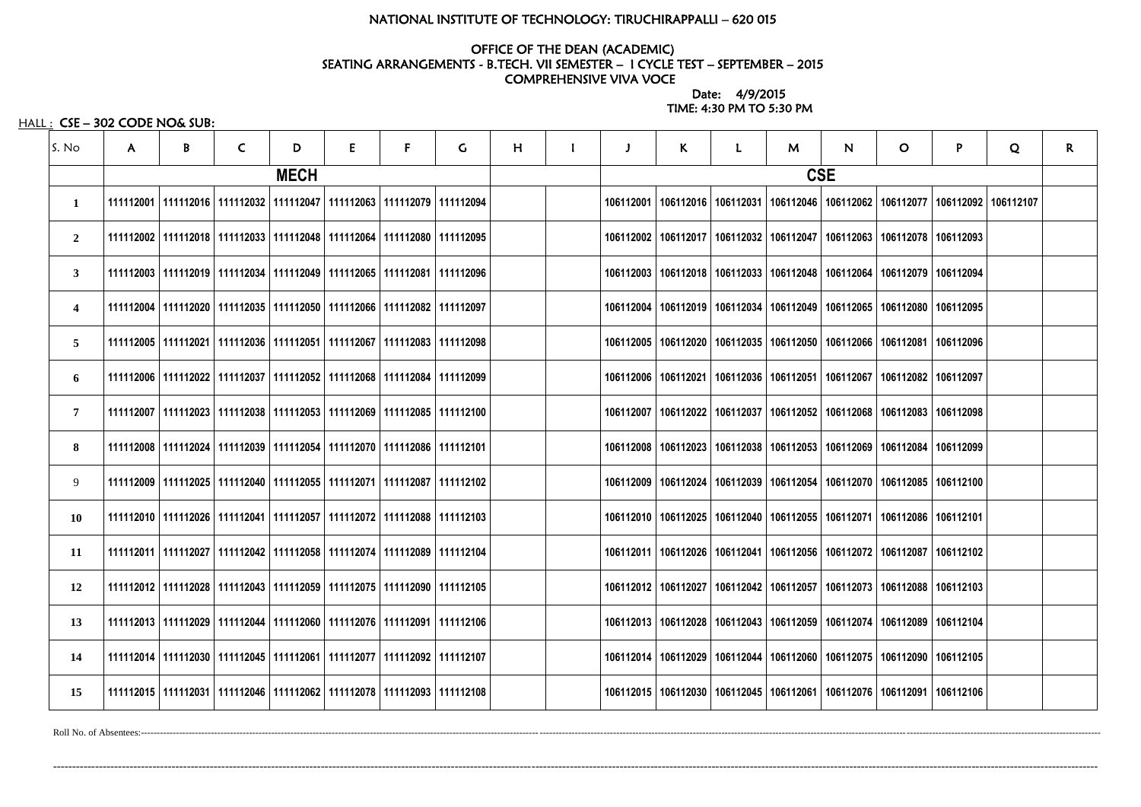### NATIONAL INSTITUTE OF TECHNOLOGY: TIRUCHIRAPPALLI – 620 015

### OFFICE OF THE DEAN (ACADEMIC) SEATING ARRANGEMENTS - B.TECH. VII SEMESTER – I CYCLE TEST – SEPTEMBER – 2015 COMPREHENSIVE VIVA VOCE

 Date: 4/9/2015 TIME: 4:30 PM TO 5:30 PM

HALL : CSE - 302 CODE NO& SUB:

| S. No                   | $\mathsf{A}$ | B | $\mathsf{C}$ | D           | E                                                                                 | F | G. | H |  | K | L.                                                                                            | M | N.         | $\mathbf{O}$          | P | Q | $\mathsf{R}$ |
|-------------------------|--------------|---|--------------|-------------|-----------------------------------------------------------------------------------|---|----|---|--|---|-----------------------------------------------------------------------------------------------|---|------------|-----------------------|---|---|--------------|
|                         |              |   |              | <b>MECH</b> |                                                                                   |   |    |   |  |   |                                                                                               |   | <b>CSE</b> |                       |   |   |              |
| 1                       |              |   |              |             | 111112001   111112016   111112032   111112047   111112063   111112079   111112094 |   |    |   |  |   | 106112001   106112016   106112031   106112046   106112062   106112077   106112092   106112107 |   |            |                       |   |   |              |
| $\overline{2}$          |              |   |              |             | 111112002   111112018   111112033   111112048   111112064   111112080   111112095 |   |    |   |  |   | 106112002   106112017   106112032   106112047   106112063   106112078   106112093             |   |            |                       |   |   |              |
| $\mathbf{3}$            |              |   |              |             | 111112003   111112019   111112034   111112049   111112065   111112081   111112096 |   |    |   |  |   | 106112003   106112018   106112033   106112048   106112064   106112079   106112094             |   |            |                       |   |   |              |
| $\overline{\mathbf{4}}$ |              |   |              |             | 111112004   111112020   111112035   111112050   111112066   111112082   111112097 |   |    |   |  |   | 106112004   106112019   106112034   106112049   106112065   106112080   106112095             |   |            |                       |   |   |              |
| 5                       |              |   |              |             | 111112005   111112021   111112036   111112051   111112067   111112083   111112098 |   |    |   |  |   | 106112005   106112020   106112035   106112050   106112066   106112081   106112096             |   |            |                       |   |   |              |
| 6                       |              |   |              |             | 111112006   111112022   111112037   111112052   111112068   111112084   111112099 |   |    |   |  |   | 106112006   106112021   106112036   106112051   106112067                                     |   |            | 106112082   106112097 |   |   |              |
| 7                       |              |   |              |             | 111112007   111112023   111112038   111112053   111112069   111112085   111112100 |   |    |   |  |   | 106112007   106112022   106112037   106112052   106112068   106112083   106112098             |   |            |                       |   |   |              |
| 8                       |              |   |              |             | 111112008   111112024   111112039   111112054   111112070   111112086   111112101 |   |    |   |  |   | 106112008   106112023   106112038   106112053   106112069   106112084   106112099             |   |            |                       |   |   |              |
| 9                       |              |   |              |             | 111112009   111112025   111112040   111112055   111112071   111112087   111112102 |   |    |   |  |   | 106112009   106112024   106112039   106112054   106112070   106112085   106112100             |   |            |                       |   |   |              |
| 10                      |              |   |              |             | 111112010   111112026   111112041   111112057   111112072   111112088   111112103 |   |    |   |  |   | 106112010   106112025   106112040   106112055   106112071   106112086   106112101             |   |            |                       |   |   |              |
| <b>11</b>               |              |   |              |             | 111112011   111112027   111112042   111112058   111112074   111112089   111112104 |   |    |   |  |   | 106112011   106112026   106112041   106112056   106112072   106112087   106112102             |   |            |                       |   |   |              |
| 12                      |              |   |              |             | 111112012   111112028   111112043   111112059   111112075   111112090   111112105 |   |    |   |  |   | 106112012   106112027   106112042   106112057   106112073   106112088   106112103             |   |            |                       |   |   |              |
| 13                      |              |   |              |             | 111112013   111112029   111112044   111112060   111112076   111112091   111112106 |   |    |   |  |   | 106112013   106112028   106112043   106112059   106112074   106112089   106112104             |   |            |                       |   |   |              |
| 14                      |              |   |              |             | 111112014   111112030   111112045   111112061   111112077   111112092   111112107 |   |    |   |  |   | 106112014   106112029   106112044   106112060   106112075   106112090   106112105             |   |            |                       |   |   |              |
| 15                      |              |   |              |             | 111112015   111112031   111112046   111112062   111112078   111112093   111112108 |   |    |   |  |   | 106112015   106112030   106112045   106112061   106112076   106112091   106112106             |   |            |                       |   |   |              |

Roll No. of Absentees:-------------------------------------------------------------------------------------------------------------------------------------------------------------------------------------------------------------------------------------------------------------------------------------------------------------

---------------------------------------------------------------------------------------------------------------------------------------------------------------------------------------------------------------------------------------------------------------------------------